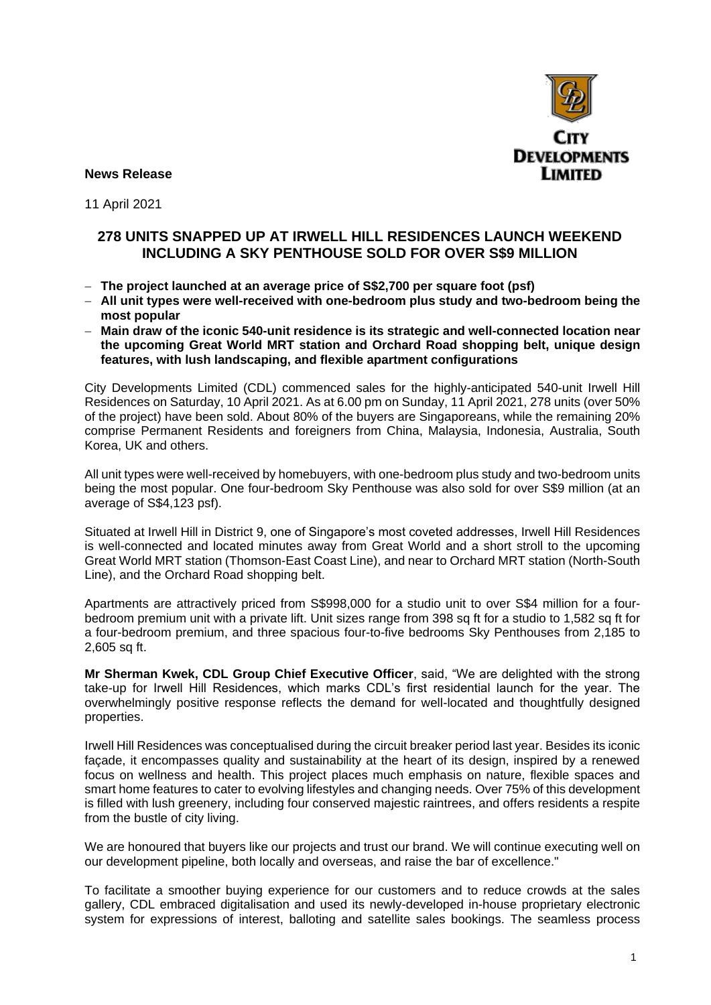

**News Release** 

11 April 2021

### **278 UNITS SNAPPED UP AT IRWELL HILL RESIDENCES LAUNCH WEEKEND INCLUDING A SKY PENTHOUSE SOLD FOR OVER S\$9 MILLION**

- − **The project launched at an average price of S\$2,700 per square foot (psf)**
- − **All unit types were well-received with one-bedroom plus study and two-bedroom being the most popular**
- − **Main draw of the iconic 540-unit residence is its strategic and well-connected location near the upcoming Great World MRT station and Orchard Road shopping belt, unique design features, with lush landscaping, and flexible apartment configurations**

City Developments Limited (CDL) commenced sales for the highly-anticipated 540-unit Irwell Hill Residences on Saturday, 10 April 2021. As at 6.00 pm on Sunday, 11 April 2021, 278 units (over 50% of the project) have been sold. About 80% of the buyers are Singaporeans, while the remaining 20% comprise Permanent Residents and foreigners from China, Malaysia, Indonesia, Australia, South Korea, UK and others.

All unit types were well-received by homebuyers, with one-bedroom plus study and two-bedroom units being the most popular. One four-bedroom Sky Penthouse was also sold for over S\$9 million (at an average of S\$4,123 psf).

Situated at Irwell Hill in District 9, one of Singapore's most coveted addresses, Irwell Hill Residences is well-connected and located minutes away from Great World and a short stroll to the upcoming Great World MRT station (Thomson-East Coast Line), and near to Orchard MRT station (North-South Line), and the Orchard Road shopping belt.

Apartments are attractively priced from S\$998,000 for a studio unit to over S\$4 million for a fourbedroom premium unit with a private lift. Unit sizes range from 398 sq ft for a studio to 1,582 sq ft for a four-bedroom premium, and three spacious four-to-five bedrooms Sky Penthouses from 2,185 to 2,605 sq ft.

**Mr Sherman Kwek, CDL Group Chief Executive Officer**, said, "We are delighted with the strong take-up for Irwell Hill Residences, which marks CDL's first residential launch for the year. The overwhelmingly positive response reflects the demand for well-located and thoughtfully designed properties.

Irwell Hill Residences was conceptualised during the circuit breaker period last year. Besides its iconic façade, it encompasses quality and sustainability at the heart of its design, inspired by a renewed focus on wellness and health. This project places much emphasis on nature, flexible spaces and smart home features to cater to evolving lifestyles and changing needs. Over 75% of this development is filled with lush greenery, including four conserved majestic raintrees, and offers residents a respite from the bustle of city living.

We are honoured that buyers like our projects and trust our brand. We will continue executing well on our development pipeline, both locally and overseas, and raise the bar of excellence."

To facilitate a smoother buying experience for our customers and to reduce crowds at the sales gallery, CDL embraced digitalisation and used its newly-developed in-house proprietary electronic system for expressions of interest, balloting and satellite sales bookings. The seamless process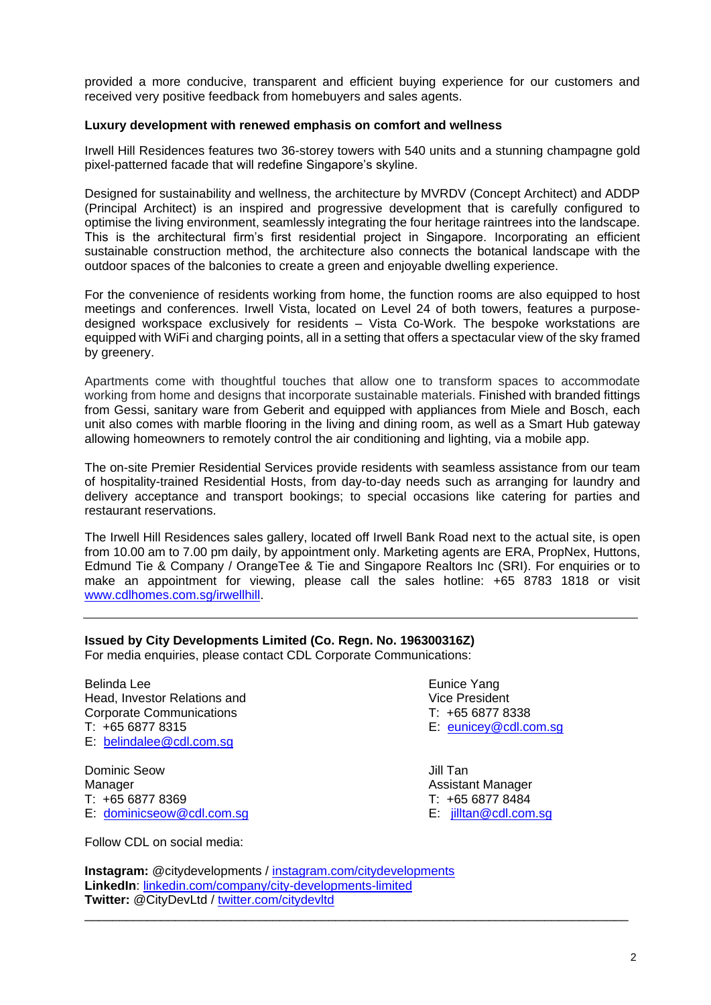provided a more conducive, transparent and efficient buying experience for our customers and received very positive feedback from homebuyers and sales agents.

#### **Luxury development with renewed emphasis on comfort and wellness**

Irwell Hill Residences features two 36-storey towers with 540 units and a stunning champagne gold pixel-patterned facade that will redefine Singapore's skyline.

Designed for sustainability and wellness, the architecture by MVRDV (Concept Architect) and ADDP (Principal Architect) is an inspired and progressive development that is carefully configured to optimise the living environment, seamlessly integrating the four heritage raintrees into the landscape. This is the architectural firm's first residential project in Singapore. Incorporating an efficient sustainable construction method, the architecture also connects the botanical landscape with the outdoor spaces of the balconies to create a green and enjoyable dwelling experience.

For the convenience of residents working from home, the function rooms are also equipped to host meetings and conferences. Irwell Vista, located on Level 24 of both towers, features a purposedesigned workspace exclusively for residents – Vista Co-Work. The bespoke workstations are equipped with WiFi and charging points, all in a setting that offers a spectacular view of the sky framed by greenery.

Apartments come with thoughtful touches that allow one to transform spaces to accommodate working from home and designs that incorporate sustainable materials. Finished with branded fittings from Gessi, sanitary ware from Geberit and equipped with appliances from Miele and Bosch, each unit also comes with marble flooring in the living and dining room, as well as a Smart Hub gateway allowing homeowners to remotely control the air conditioning and lighting, via a mobile app.

The on-site Premier Residential Services provide residents with seamless assistance from our team of hospitality-trained Residential Hosts, from day-to-day needs such as arranging for laundry and delivery acceptance and transport bookings; to special occasions like catering for parties and restaurant reservations.

The Irwell Hill Residences sales gallery, located off Irwell Bank Road next to the actual site, is open from 10.00 am to 7.00 pm daily, by appointment only. Marketing agents are ERA, PropNex, Huttons, Edmund Tie & Company / OrangeTee & Tie and Singapore Realtors Inc (SRI). For enquiries or to make an appointment for viewing, please call the sales hotline: +65 8783 1818 or visit [www.cdlhomes.com.sg/irwellhill.](http://www.cdlhomes.com.sg/irwellhill)

### **Issued by City Developments Limited (Co. Regn. No. 196300316Z)**

For media enquiries, please contact CDL Corporate Communications:

Belinda Lee **Eunice Yang** Head, Investor Relations and Vice President Corporate Communications T: +65 6877 8338 T: +65 6877 8315 E: [eunicey@cdl.com.sg](mailto:eunicey@cdl.com.sg) E: [belindalee@cdl.com.sg](mailto:belindalee@cdl.com.sg) 

Dominic Seow Jill Tan Manager **Manager** Assistant Manager Assistant Manager T: +65 6877 8369 T: +65 6877 8484 E: [dominicseow@cdl.com.sg](mailto:dominicseow@cdl.com.sg) E: [jilltan@cdl.com.sg](mailto:jilltan@cdl.com.sg)

Follow CDL on social media:

**Instagram:** @citydevelopments / [instagram.com/citydevelopments](https://www.instagram.com/citydevelopments/) **LinkedIn**: [linkedin.com/company/city-developments-limited](https://www.linkedin.com/company/city-developments-limited)  **Twitter:** @CityDevLtd / [twitter.com/citydevltd](https://twitter.com/citydevltd) \_\_\_\_\_\_\_\_\_\_\_\_\_\_\_\_\_\_\_\_\_\_\_\_\_\_\_\_\_\_\_\_\_\_\_\_\_\_\_\_\_\_\_\_\_\_\_\_\_\_\_\_\_\_\_\_\_\_\_\_\_\_\_\_\_\_\_\_\_\_\_\_\_\_\_\_\_\_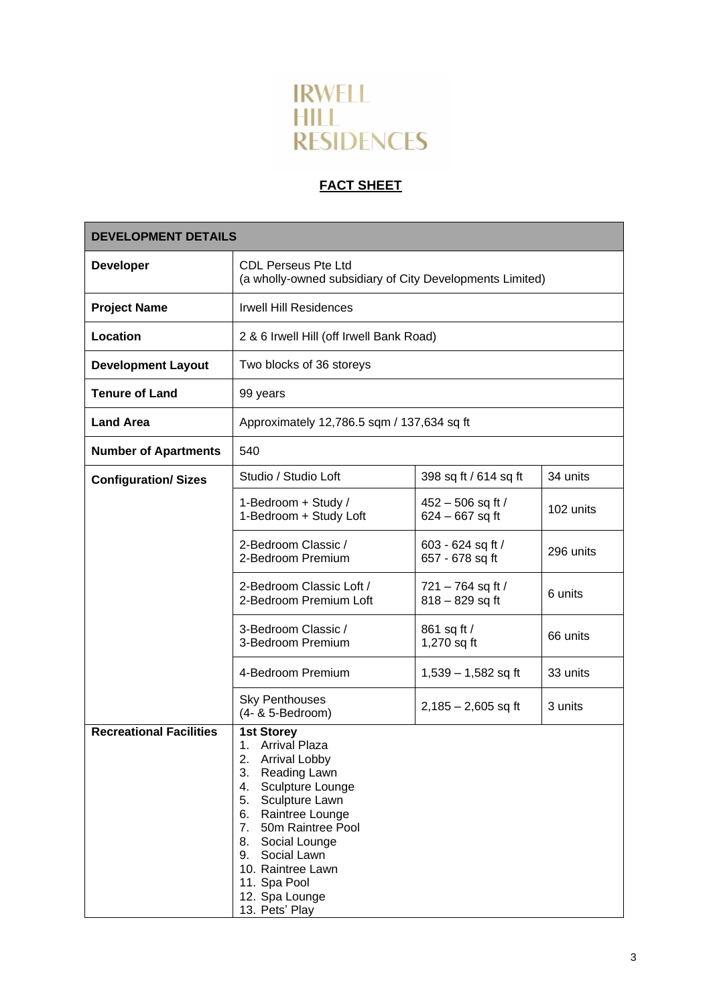

# **FACT SHEET**

| <b>DEVELOPMENT DETAILS</b>     |                                                                                                                                                                                                                                                                                             |                                        |           |
|--------------------------------|---------------------------------------------------------------------------------------------------------------------------------------------------------------------------------------------------------------------------------------------------------------------------------------------|----------------------------------------|-----------|
| <b>Developer</b>               | <b>CDL Perseus Pte Ltd</b><br>(a wholly-owned subsidiary of City Developments Limited)                                                                                                                                                                                                      |                                        |           |
| <b>Project Name</b>            | <b>Irwell Hill Residences</b>                                                                                                                                                                                                                                                               |                                        |           |
| Location                       | 2 & 6 Irwell Hill (off Irwell Bank Road)                                                                                                                                                                                                                                                    |                                        |           |
| <b>Development Layout</b>      | Two blocks of 36 storeys                                                                                                                                                                                                                                                                    |                                        |           |
| <b>Tenure of Land</b>          | 99 years                                                                                                                                                                                                                                                                                    |                                        |           |
| <b>Land Area</b>               | Approximately 12,786.5 sqm / 137,634 sq ft                                                                                                                                                                                                                                                  |                                        |           |
| <b>Number of Apartments</b>    | 540                                                                                                                                                                                                                                                                                         |                                        |           |
| <b>Configuration/ Sizes</b>    | Studio / Studio Loft                                                                                                                                                                                                                                                                        | 398 sq ft / 614 sq ft                  | 34 units  |
|                                | 1-Bedroom + Study /<br>1-Bedroom + Study Loft                                                                                                                                                                                                                                               | 452 - 506 sq ft /<br>$624 - 667$ sq ft | 102 units |
|                                | 2-Bedroom Classic /<br>2-Bedroom Premium                                                                                                                                                                                                                                                    | 603 - 624 sq ft /<br>657 - 678 sq ft   | 296 units |
|                                | 2-Bedroom Classic Loft /<br>2-Bedroom Premium Loft                                                                                                                                                                                                                                          | 721 - 764 sq ft /<br>$818 - 829$ sq ft | 6 units   |
|                                | 3-Bedroom Classic /<br>3-Bedroom Premium                                                                                                                                                                                                                                                    | 861 sq ft /<br>1,270 sq ft             | 66 units  |
|                                | 4-Bedroom Premium                                                                                                                                                                                                                                                                           | $1,539 - 1,582$ sq ft                  | 33 units  |
|                                | <b>Sky Penthouses</b><br>(4- & 5-Bedroom)                                                                                                                                                                                                                                                   | $2,185 - 2,605$ sq ft                  | 3 units   |
| <b>Recreational Facilities</b> | <b>1st Storey</b><br>1. Arrival Plaza<br>2. Arrival Lobby<br>3.<br>Reading Lawn<br>4.<br>Sculpture Lounge<br>5. Sculpture Lawn<br>6. Raintree Lounge<br>7. 50m Raintree Pool<br>8. Social Lounge<br>9. Social Lawn<br>10. Raintree Lawn<br>11. Spa Pool<br>12. Spa Lounge<br>13. Pets' Play |                                        |           |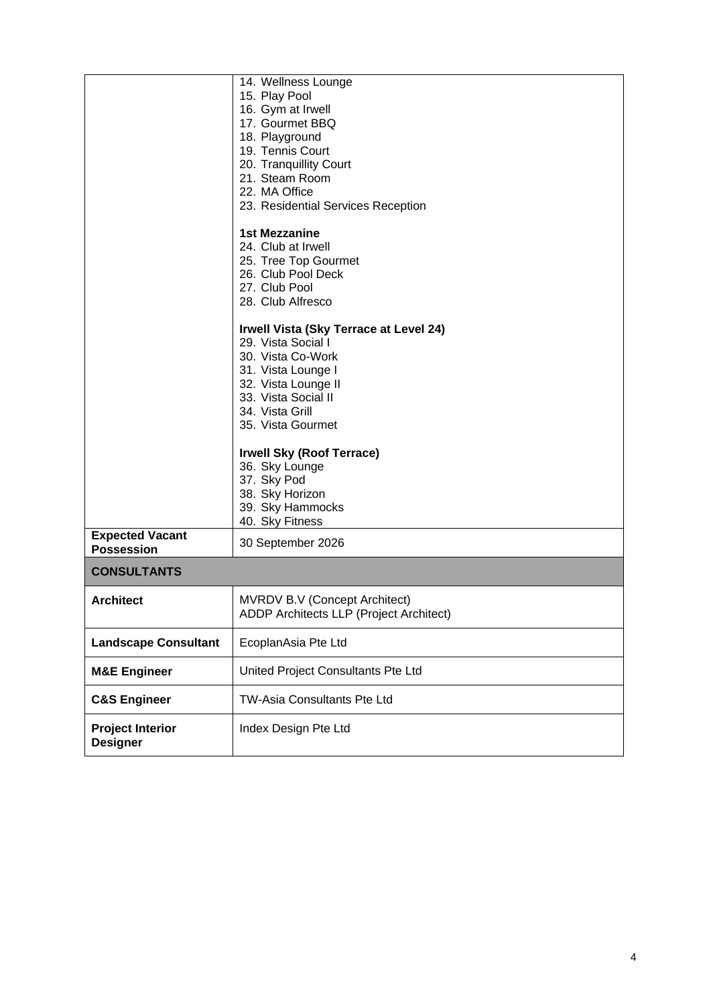|                                             | 14. Wellness Lounge<br>15. Play Pool<br>16. Gym at Irwell<br>17. Gourmet BBQ<br>18. Playground<br>19. Tennis Court<br>20. Tranquillity Court<br>21. Steam Room<br>22. MA Office<br>23. Residential Services Reception<br><b>1st Mezzanine</b><br>24. Club at Irwell<br>25. Tree Top Gourmet<br>26. Club Pool Deck<br>27. Club Pool<br>28. Club Alfresco |  |
|---------------------------------------------|---------------------------------------------------------------------------------------------------------------------------------------------------------------------------------------------------------------------------------------------------------------------------------------------------------------------------------------------------------|--|
|                                             | Irwell Vista (Sky Terrace at Level 24)<br>29. Vista Social I<br>30. Vista Co-Work<br>31. Vista Lounge I<br>32. Vista Lounge II<br>33. Vista Social II<br>34. Vista Grill<br>35. Vista Gourmet                                                                                                                                                           |  |
|                                             | <b>Irwell Sky (Roof Terrace)</b><br>36. Sky Lounge<br>37. Sky Pod<br>38. Sky Horizon<br>39. Sky Hammocks<br>40. Sky Fitness                                                                                                                                                                                                                             |  |
| <b>Expected Vacant</b><br><b>Possession</b> | 30 September 2026                                                                                                                                                                                                                                                                                                                                       |  |
| <b>CONSULTANTS</b>                          |                                                                                                                                                                                                                                                                                                                                                         |  |
| <b>Architect</b>                            | <b>MVRDV B.V (Concept Architect)</b><br>ADDP Architects LLP (Project Architect)                                                                                                                                                                                                                                                                         |  |
| <b>Landscape Consultant</b>                 | EcoplanAsia Pte Ltd                                                                                                                                                                                                                                                                                                                                     |  |
| <b>M&amp;E Engineer</b>                     | United Project Consultants Pte Ltd                                                                                                                                                                                                                                                                                                                      |  |
| <b>C&amp;S Engineer</b>                     | TW-Asia Consultants Pte Ltd                                                                                                                                                                                                                                                                                                                             |  |
| <b>Project Interior</b><br><b>Designer</b>  | Index Design Pte Ltd                                                                                                                                                                                                                                                                                                                                    |  |